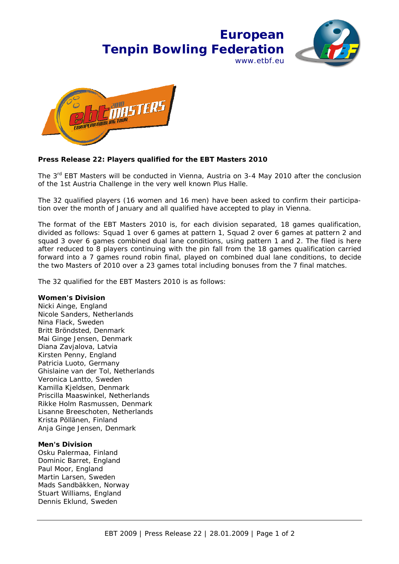## **European Tenpin Bowling Federation** www.ethf.eu





## **Press Release 22: Players qualified for the EBT Masters 2010**

The 3<sup>rd</sup> EBT Masters will be conducted in Vienna, Austria on 3-4 May 2010 after the conclusion of the 1st Austria Challenge in the very well known Plus Halle.

The 32 qualified players (16 women and 16 men) have been asked to confirm their participation over the month of January and all qualified have accepted to play in Vienna.

The format of the EBT Masters 2010 is, for each division separated, 18 games qualification, divided as follows: Squad 1 over 6 games at pattern 1, Squad 2 over 6 games at pattern 2 and squad 3 over 6 games combined dual lane conditions, using pattern 1 and 2. The filed is here after reduced to 8 players continuing with the pin fall from the 18 games qualification carried forward into a 7 games round robin final, played on combined dual lane conditions, to decide the two Masters of 2010 over a 23 games total including bonuses from the 7 final matches.

The 32 qualified for the EBT Masters 2010 is as follows:

## **Women's Division**

Nicki Ainge, England Nicole Sanders, Netherlands Nina Flack, Sweden Britt Bröndsted, Denmark Mai Ginge Jensen, Denmark Diana Zavjalova, Latvia Kirsten Penny, England Patricia Luoto, Germany Ghislaine van der Tol, Netherlands Veronica Lantto, Sweden Kamilla Kjeldsen, Denmark Priscilla Maaswinkel, Netherlands Rikke Holm Rasmussen, Denmark Lisanne Breeschoten, Netherlands Krista Pöllänen, Finland Anja Ginge Jensen, Denmark

## **Men's Division**

Osku Palermaa, Finland Dominic Barret, England Paul Moor, England Martin Larsen, Sweden Mads Sandbäkken, Norway Stuart Williams, England Dennis Eklund, Sweden